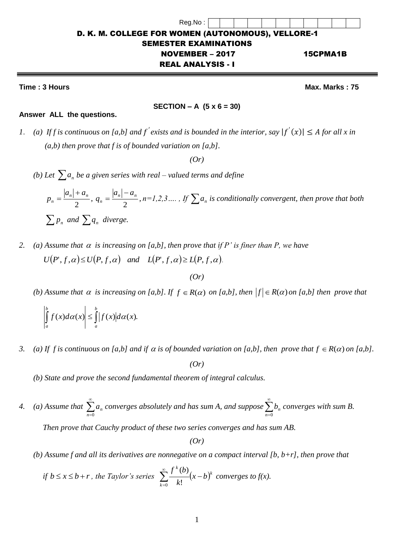## **Time : 3 Hours Max. Marks : 75**

## **SECTION – A (5 x 6 = 30)**

ī

- **Answer ALL the questions.**
- 1. (a) If f is continuous on [a,b] and f' exists and is bounded in the interior, say  $|f'(x)| \leq A$  for all x in  *(a,b) then prove that f is of bounded variation on [a,b].*

*(Or)*

- *(b)* Let  $\sum a_n$  be a given series with real valued terms and define
- , 2  $n \mid \top u_n$ *n*  $a_n$  + a *p*  $\overline{+}$  $=\frac{|a_n|+|a_n|}{2}, q_n=\frac{|a_n|+|a_n|}{2},$ 2  $n \mid u_n$ *n*  $a_n - a$ *q* - $=\frac{|a_n|-a_n}{2}$ ,  $n=1,2,3,...$  *, If*  $\sum a_n$  is conditionally convergent, then prove that both  $\sum p_n$  and  $\sum q_n$  diverge.
- 2. (a) Assume that  $\alpha$  is increasing on [a,b], then prove that if P' is finer than P, we have  $U(P', f, \alpha) \leq U(P, f, \alpha)$  and  $L(P', f, \alpha) \geq L(P, f, \alpha)$ .

*(Or)*

*(b)* Assume that  $\alpha$  is increasing on [a,b]. If  $f \in R(\alpha)$  on [a,b], then  $|f| \in R(\alpha)$  on [a,b] then prove that

$$
\left|\int_a^b f(x)d\alpha(x)\right| \leq \int_a^b |f(x)|d\alpha(x).
$$

3. (a) If f is continuous on [a,b] and if  $\alpha$  is of bounded variation on [a,b], then prove that  $f \in R(\alpha)$  on [a,b].

*(Or)*

- *(b) State and prove the second fundamental theorem of integral calculus.*
- *4. (a) Assume that*  $\sum_{n=1}^{\infty}$  $n=0$  $a_n$  converges absolutely and has sum A, and suppose  $\sum^{\infty}$  $n=0$ *bn converges with sum B.*

 *Then prove that Cauchy product of these two series converges and has sum AB.* 

*(Or)*

*(b) Assume f and all its derivatives are nonnegative on a compact interval [b, b+r], then prove that*

if 
$$
b \le x \le b+r
$$
, the Taylor's series  $\sum_{k=0}^{\infty} \frac{f^k(b)}{k!} (x-b)^k$  converges to  $f(x)$ .